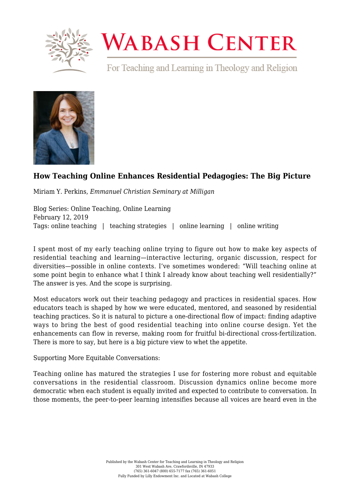

# **WABASH CENTER**

For Teaching and Learning in Theology and Religion



## **[How Teaching Online Enhances Residential Pedagogies: The Big Picture](https://www.wabashcenter.wabash.edu/2019/02/how-teaching-online-enhances-residential-pedagogies-the-big-picture/)**

Miriam Y. Perkins, *Emmanuel Christian Seminary at Milligan*

Blog Series: Online Teaching, Online Learning February 12, 2019 Tags: online teaching | teaching strategies | online learning | online writing

I spent most of my early teaching online trying to figure out how to make key aspects of residential teaching and learning—interactive lecturing, organic discussion, respect for diversities—possible in online contexts. I've sometimes wondered: "Will teaching online at some point begin to enhance what I think I already know about teaching well residentially?" The answer is yes. And the scope is surprising.

Most educators work out their teaching pedagogy and practices in residential spaces. How educators teach is shaped by how we were educated, mentored, and seasoned by residential teaching practices. So it is natural to picture a one-directional flow of impact: finding adaptive ways to bring the best of good residential teaching into online course design. Yet the enhancements can flow in reverse, making room for fruitful bi-directional cross-fertilization. There is more to say, but here is a big picture view to whet the appetite.

### Supporting More Equitable Conversations:

Teaching online has matured the strategies I use for fostering more robust and equitable conversations in the residential classroom. Discussion dynamics online become more democratic when each student is equally invited and expected to contribute to conversation. In those moments, the peer-to-peer learning intensifies because all voices are heard even in the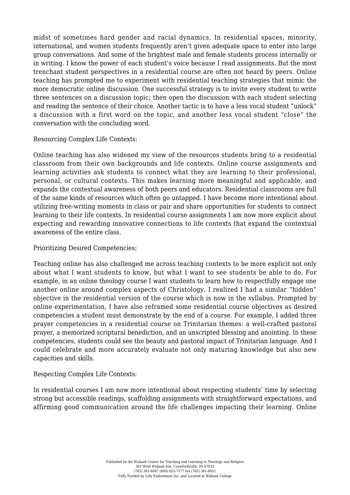midst of sometimes hard gender and racial dynamics. In residential spaces, minority, international, and women students frequently aren't given adequate space to enter into large group conversations. And some of the brightest male and female students process internally or in writing. I know the power of each student's voice because I read assignments. But the most trenchant student perspectives in a residential course are often not heard by peers. Online teaching has prompted me to experiment with residential teaching strategies that mimic the more democratic online discussion. One successful strategy is to invite every student to write three sentences on a discussion topic; then open the discussion with each student selecting and reading the sentence of their choice. Another tactic is to have a less vocal student "unlock" a discussion with a first word on the topic, and another less vocal student "close" the conversation with the concluding word.

Resourcing Complex Life Contexts:

Online teaching has also widened my view of the resources students bring to a residential classroom from their own backgrounds and life contexts. Online course assignments and learning activities ask students to connect what they are learning to their professional, personal, or cultural contexts. This makes learning more meaningful and applicable, and expands the contextual awareness of both peers and educators. Residential classrooms are full of the same kinds of resources which often go untapped. I have become more intentional about utilizing free-writing moments in class or pair and share opportunities for students to connect learning to their life contexts. In residential course assignments I am now more explicit about expecting and rewarding innovative connections to life contexts that expand the contextual awareness of the entire class.

### Prioritizing Desired Competencies:

Teaching online has also challenged me across teaching contexts to be more explicit not only about what I want students to know, but what I want to see students be able to do. For example, in an online theology course I want students to learn how to respectfully engage one another online around complex aspects of Christology. I realized I had a similar "hidden" objective in the residential version of the course which is now in the syllabus. Prompted by online experimentation, I have also reframed some residential course objectives as desired competencies a student must demonstrate by the end of a course. For example, I added three prayer competencies in a residential course on Trinitarian themes: a well-crafted pastoral prayer, a memorized scriptural benediction, and an unscripted blessing and anointing. In these competencies, students could see the beauty and pastoral impact of Trinitarian language. And I could celebrate and more accurately evaluate not only maturing knowledge but also new capacities and skills.

### Respecting Complex Life Contexts:

In residential courses I am now more intentional about respecting students' time by selecting strong but accessible readings, scaffolding assignments with straightforward expectations, and affirming good communication around the life challenges impacting their learning. Online